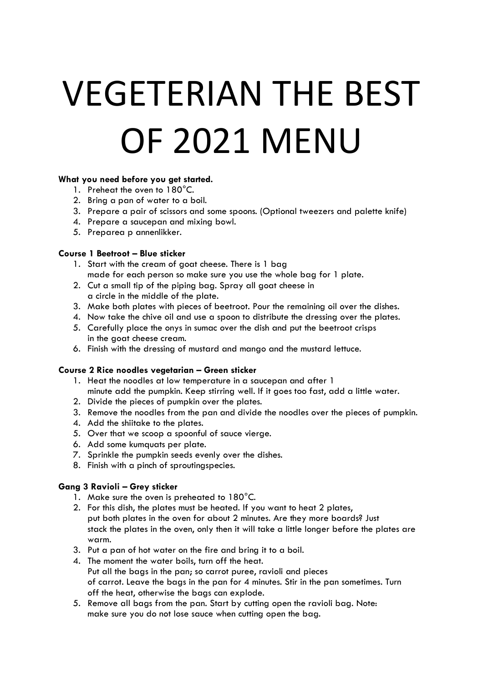# VEGETERIAN THE BEST OF 2021 MENU

# **What you need before you get started.**

- 1. Preheat the oven to 180°C.
- 2. Bring a pan of water to a boil.
- 3. Prepare a pair of scissors and some spoons. (Optional tweezers and palette knife)
- 4. Prepare a saucepan and mixing bowl.
- 5. Preparea p annenlikker.

# **Course 1 Beetroot – Blue sticker**

- 1. Start with the cream of goat cheese. There is 1 bag made for each person so make sure you use the whole bag for 1 plate.
- 2. Cut a small tip of the piping bag. Spray all goat cheese in a circle in the middle of the plate.
- 3. Make both plates with pieces of beetroot. Pour the remaining oil over the dishes.
- 4. Now take the chive oil and use a spoon to distribute the dressing over the plates.
- 5. Carefully place the onys in sumac over the dish and put the beetroot crisps in the goat cheese cream.
- 6. Finish with the dressing of mustard and mango and the mustard lettuce.

# **Course 2 Rice noodles vegetarian – Green sticker**

- 1. Heat the noodles at low temperature in a saucepan and after 1 minute add the pumpkin. Keep stirring well. If it goes too fast, add a little water.
- 2. Divide the pieces of pumpkin over the plates.
- 3. Remove the noodles from the pan and divide the noodles over the pieces of pumpkin.
- 4. Add the shiitake to the plates.
- 5. Over that we scoop a spoonful of sauce vierge.
- 6. Add some kumquats per plate.
- 7. Sprinkle the pumpkin seeds evenly over the dishes.
- 8. Finish with a pinch of sproutingspecies.

# **Gang 3 Ravioli – Grey sticker**

- 1. Make sure the oven is preheated to 180°C.
- 2. For this dish, the plates must be heated. If you want to heat 2 plates, put both plates in the oven for about 2 minutes. Are they more boards? Just stack the plates in the oven, only then it will take a little longer before the plates are warm.
- 3. Put a pan of hot water on the fire and bring it to a boil.
- 4. The moment the water boils, turn off the heat. Put all the bags in the pan; so carrot puree, ravioli and pieces of carrot. Leave the bags in the pan for 4 minutes. Stir in the pan sometimes. Turn off the heat, otherwise the bags can explode.
- 5. Remove all bags from the pan. Start by cutting open the ravioli bag. Note: make sure you do not lose sauce when cutting open the bag.